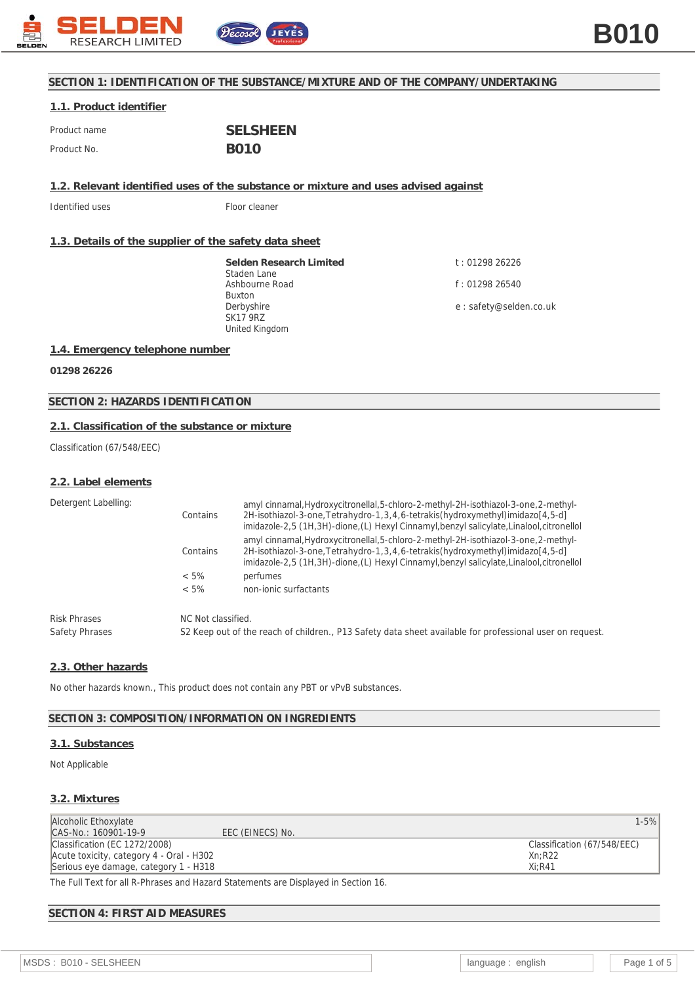

# **SECTION 1: IDENTIFICATION OF THE SUBSTANCE/MIXTURE AND OF THE COMPANY/UNDERTAKING**

## **1.1. Product identifier**

| Product name | <b>SELSHEEN</b> |
|--------------|-----------------|
| Product No.  | <b>BO10</b>     |

**1.2. Relevant identified uses of the substance or mixture and uses advised against**

Identified uses Floor cleaner

## **1.3. Details of the supplier of the safety data sheet**

**Selden Research Limited** Staden Lane Ashbourne Road Buxton Derbyshire SK17 9RZ United Kingdom

t : 01298 26226 f : 01298 26540 e : safety@selden.co.uk

## **1.4. Emergency telephone number**

**01298 26226**

**SECTION 2: HAZARDS IDENTIFICATION**

## **2.1. Classification of the substance or mixture**

Classification (67/548/EEC)

### **2.2. Label elements**

| Detergent Labelling:<br>$< 5\%$<br>$< 5\%$ | Contains | amyl cinnamal, Hydroxycitronellal, 5-chloro-2-methyl-2H-isothiazol-3-one, 2-methyl-<br>2H-isothiazol-3-one, Tetrahydro-1, 3, 4, 6-tetrakis (hydroxymethyl) imidazo [4, 5-d]<br>imidazole-2,5 (1H,3H)-dione, (L) Hexyl Cinnamyl, benzyl salicylate, Linalool, citronellol |  |
|--------------------------------------------|----------|--------------------------------------------------------------------------------------------------------------------------------------------------------------------------------------------------------------------------------------------------------------------------|--|
|                                            | Contains | amyl cinnamal, Hydroxycitronellal, 5-chloro-2-methyl-2H-isothiazol-3-one, 2-methyl-<br>2H-isothiazol-3-one, Tetrahydro-1, 3, 4, 6-tetrakis (hydroxymethyl) imidazo [4, 5-d]<br>imidazole-2,5 (1H,3H)-dione,(L) Hexyl Cinnamyl,benzyl salicylate,Linalool,citronellol     |  |
|                                            |          | perfumes                                                                                                                                                                                                                                                                 |  |
|                                            |          | non-jonic surfactants                                                                                                                                                                                                                                                    |  |
| <b>Risk Phrases</b><br>Safety Phrases      |          | NC Not classified.<br>S2 Keep out of the reach of children., P13 Safety data sheet available for professional user on request.                                                                                                                                           |  |

## **2.3. Other hazards**

No other hazards known., This product does not contain any PBT or vPvB substances.

### **SECTION 3: COMPOSITION/INFORMATION ON INGREDIENTS**

#### **3.1. Substances**

Not Applicable

### **3.2. Mixtures**

| Alcoholic Ethoxylate                     |                  | $1 - 5%$                    |
|------------------------------------------|------------------|-----------------------------|
| CAS-No.: 160901-19-9                     | EEC (EINECS) No. |                             |
| Classification (EC 1272/2008)            |                  | Classification (67/548/EEC) |
| Acute toxicity, category 4 - Oral - H302 |                  | Xn:R22                      |
| Serious eye damage, category 1 - H318    |                  | $Xi:$ R41                   |
|                                          |                  |                             |

The Full Text for all R-Phrases and Hazard Statements are Displayed in Section 16.

## **SECTION 4: FIRST AID MEASURES**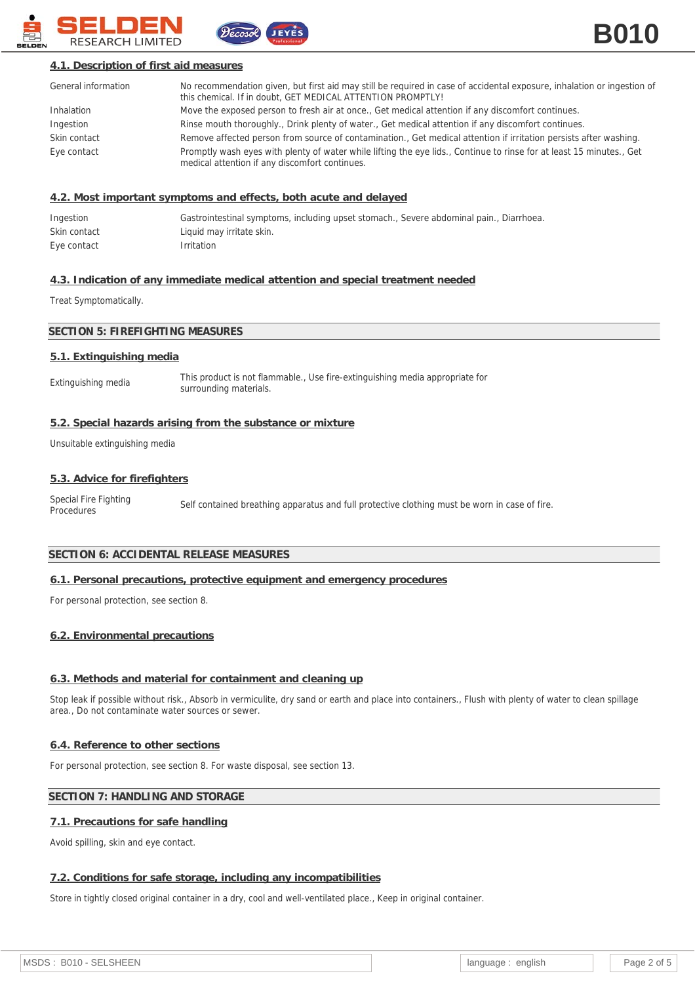

## **4.1. Description of first aid measures**

| General information | No recommendation given, but first aid may still be required in case of accidental exposure, inhalation or ingestion of<br>this chemical. If in doubt, GET MEDICAL ATTENTION PROMPTLY! |
|---------------------|----------------------------------------------------------------------------------------------------------------------------------------------------------------------------------------|
| Inhalation          | Move the exposed person to fresh air at once., Get medical attention if any discomfort continues.                                                                                      |
| Ingestion           | Rinse mouth thoroughly., Drink plenty of water., Get medical attention if any discomfort continues.                                                                                    |
| Skin contact        | Remove affected person from source of contamination., Get medical attention if irritation persists after washing.                                                                      |
| Eye contact         | Promptly wash eyes with plenty of water while lifting the eye lids., Continue to rinse for at least 15 minutes., Get<br>medical attention if any discomfort continues.                 |

### **4.2. Most important symptoms and effects, both acute and delayed**

| Ingestion    | Gastrointestinal symptoms, including upset stomach., Severe abdominal pain., Diarrhoea. |
|--------------|-----------------------------------------------------------------------------------------|
| Skin contact | Liquid may irritate skin.                                                               |
| Eye contact  | <i>Irritation</i>                                                                       |

JEYES

### **4.3. Indication of any immediate medical attention and special treatment needed**

Treat Symptomatically.

## **SECTION 5: FIREFIGHTING MEASURES**

#### **5.1. Extinguishing media**

Extinguishing media This product is not flammable., Use fire-extinguishing media appropriate for surrounding materials.

### **5.2. Special hazards arising from the substance or mixture**

Unsuitable extinguishing media

#### **5.3. Advice for firefighters**

Special Fire Fighting Special Fire Fighting<br>Procedures Self contained breathing apparatus and full protective clothing must be worn in case of fire.

## **SECTION 6: ACCIDENTAL RELEASE MEASURES**

### **6.1. Personal precautions, protective equipment and emergency procedures**

For personal protection, see section 8.

#### **6.2. Environmental precautions**

### **6.3. Methods and material for containment and cleaning up**

Stop leak if possible without risk., Absorb in vermiculite, dry sand or earth and place into containers., Flush with plenty of water to clean spillage area., Do not contaminate water sources or sewer.

### **6.4. Reference to other sections**

For personal protection, see section 8. For waste disposal, see section 13.

### **SECTION 7: HANDLING AND STORAGE**

### **7.1. Precautions for safe handling**

Avoid spilling, skin and eye contact.

#### **7.2. Conditions for safe storage, including any incompatibilities**

Store in tightly closed original container in a dry, cool and well-ventilated place., Keep in original container.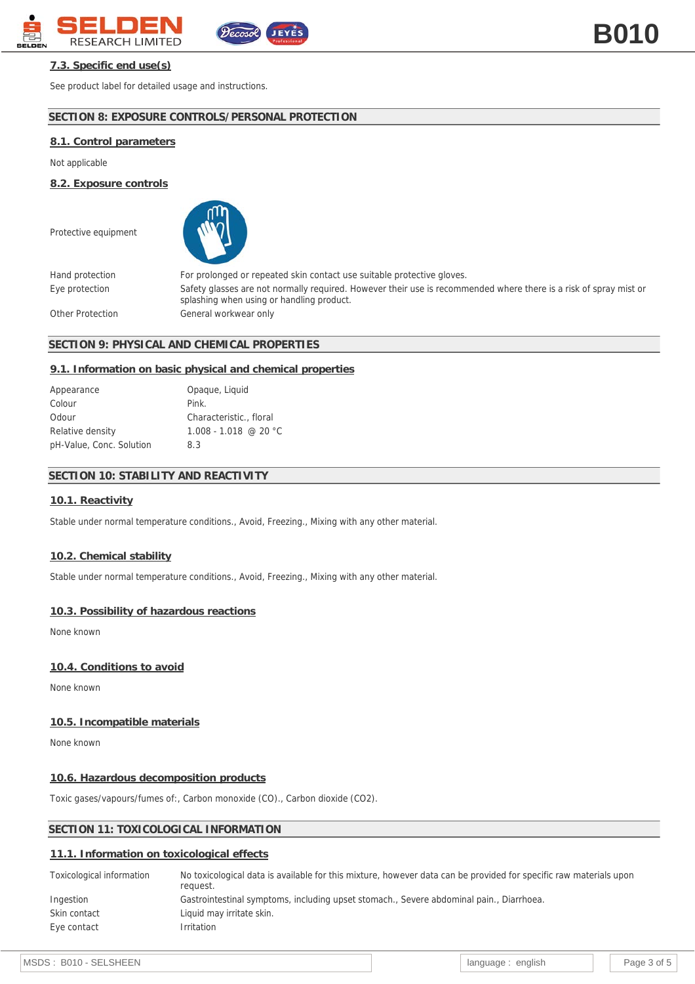

# **7.3. Specific end use(s)**

See product label for detailed usage and instructions.

# **SECTION 8: EXPOSURE CONTROLS/PERSONAL PROTECTION**

 $\widetilde{\mathfrak{c}_{\alpha\alpha\alpha}}$ 

# **8.1. Control parameters**

Not applicable

**8.2. Exposure controls**

Protective equipment



Hand protection For prolonged or repeated skin contact use suitable protective gloves. Eye protection Safety glasses are not normally required. However their use is recommended where there is a risk of spray mist or splashing when using or handling product. Other Protection General workwear only

## **SECTION 9: PHYSICAL AND CHEMICAL PROPERTIES**

### **9.1. Information on basic physical and chemical properties**

| Appearance               | Opaque, Liquid          |
|--------------------------|-------------------------|
| Colour                   | Pink.                   |
| Odour                    | Characteristic., floral |
| Relative density         | $1.008 - 1.018$ @ 20 °C |
| pH-Value, Conc. Solution | 83                      |

## **SECTION 10: STABILITY AND REACTIVITY**

### **10.1. Reactivity**

Stable under normal temperature conditions., Avoid, Freezing., Mixing with any other material.

### **10.2. Chemical stability**

Stable under normal temperature conditions., Avoid, Freezing., Mixing with any other material.

## **10.3. Possibility of hazardous reactions**

None known

### **10.4. Conditions to avoid**

None known

## **10.5. Incompatible materials**

None known

## **10.6. Hazardous decomposition products**

Toxic gases/vapours/fumes of:, Carbon monoxide (CO)., Carbon dioxide (CO2).

## **SECTION 11: TOXICOLOGICAL INFORMATION**

### **11.1. Information on toxicological effects**

| No toxicological data is available for this mixture, however data can be provided for specific raw materials upon<br>request. |
|-------------------------------------------------------------------------------------------------------------------------------|
| Gastrointestinal symptoms, including upset stomach., Severe abdominal pain., Diarrhoea.                                       |
| Liquid may irritate skin.                                                                                                     |
| <i>Irritation</i>                                                                                                             |
|                                                                                                                               |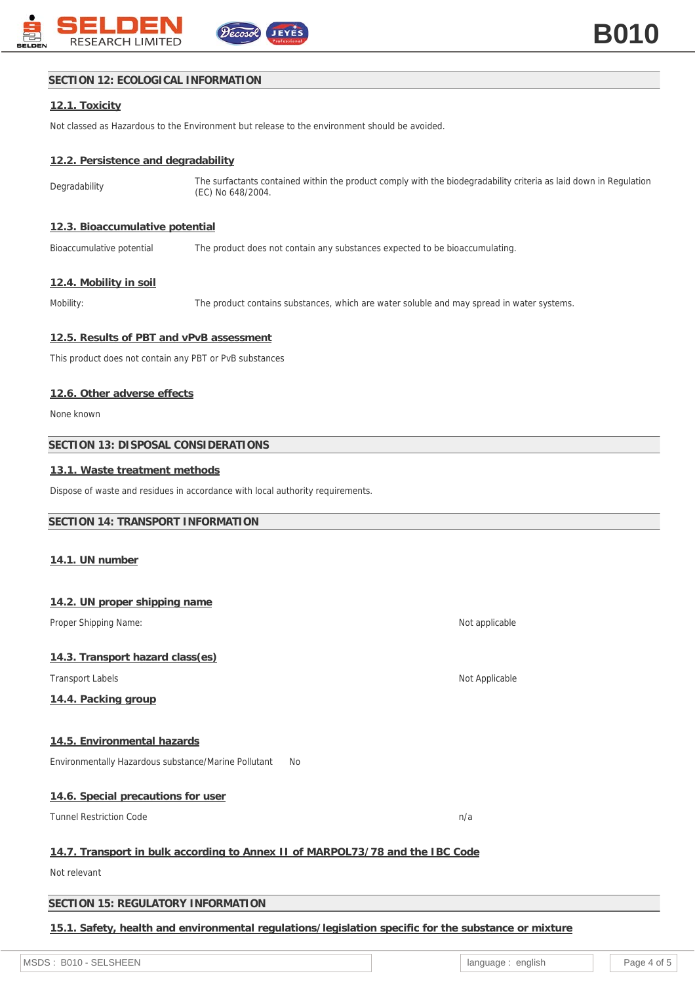

# **SECTION 12: ECOLOGICAL INFORMATION**

# **12.1. Toxicity**

Not classed as Hazardous to the Environment but release to the environment should be avoided.

# **12.2. Persistence and degradability**

Degradability The surfactants contained within the product comply with the biodegradability criteria as laid down in Regulation (EC) No 648/2004.

## **12.3. Bioaccumulative potential**

Bioaccumulative potential The product does not contain any substances expected to be bioaccumulating.

# **12.4. Mobility in soil**

Mobility: The product contains substances, which are water soluble and may spread in water systems.

## **12.5. Results of PBT and vPvB assessment**

This product does not contain any PBT or PvB substances

## **12.6. Other adverse effects**

None known

## **SECTION 13: DISPOSAL CONSIDERATIONS**

## **13.1. Waste treatment methods**

Dispose of waste and residues in accordance with local authority requirements.

## **SECTION 14: TRANSPORT INFORMATION**

### **14.1. UN number**

| 14.2. UN proper shipping name                                                                        |                |
|------------------------------------------------------------------------------------------------------|----------------|
| Proper Shipping Name:                                                                                | Not applicable |
|                                                                                                      |                |
| 14.3. Transport hazard class(es)                                                                     |                |
| <b>Transport Labels</b>                                                                              | Not Applicable |
| 14.4. Packing group                                                                                  |                |
|                                                                                                      |                |
| 14.5. Environmental hazards                                                                          |                |
| Environmentally Hazardous substance/Marine Pollutant<br>No                                           |                |
|                                                                                                      |                |
| 14.6. Special precautions for user                                                                   |                |
| <b>Tunnel Restriction Code</b>                                                                       | n/a            |
|                                                                                                      |                |
| 14.7. Transport in bulk according to Annex II of MARPOL73/78 and the IBC Code                        |                |
| Not relevant                                                                                         |                |
|                                                                                                      |                |
| SECTION 15: REGULATORY INFORMATION                                                                   |                |
| 15.1. Safety, health and environmental regulations/legislation specific for the substance or mixture |                |